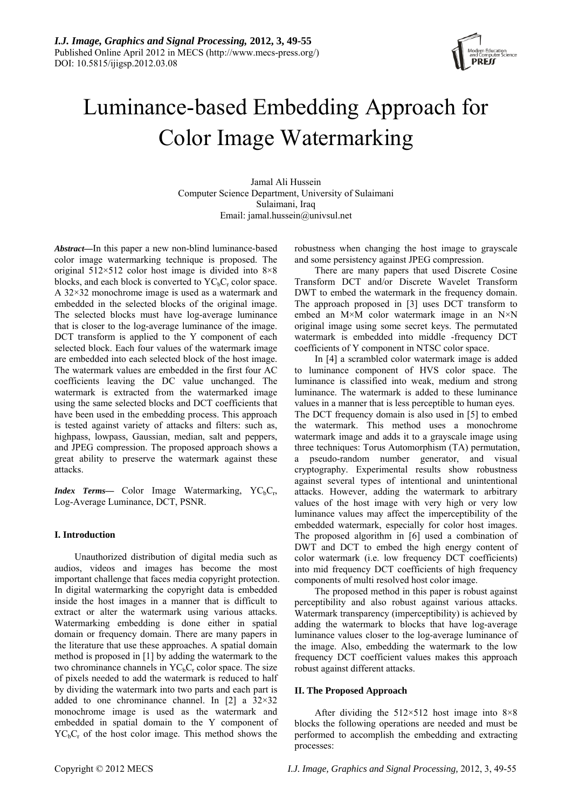

# Luminance-based Embedding Approach for Color Image Watermarking

Jamal Ali Hussein Computer Science Department, University of Sulaimani Sulaimani, Iraq Email: jamal.hussein@univsul.net

*Abstract—*In this paper a new non-blind luminance-based color image watermarking technique is proposed. The original  $512\times512$  color host image is divided into  $8\times8$ blocks, and each block is converted to  $YC<sub>b</sub>C<sub>r</sub>$  color space. A 32×32 monochrome image is used as a watermark and embedded in the selected blocks of the original image. The selected blocks must have log-average luminance that is closer to the log-average luminance of the image. DCT transform is applied to the Y component of each selected block. Each four values of the watermark image are embedded into each selected block of the host image. The watermark values are embedded in the first four AC coefficients leaving the DC value unchanged. The watermark is extracted from the watermarked image using the same selected blocks and DCT coefficients that have been used in the embedding process. This approach is tested against variety of attacks and filters: such as, highpass, lowpass, Gaussian, median, salt and peppers, and JPEG compression. The proposed approach shows a great ability to preserve the watermark against these attacks.

*Index Terms*— Color Image Watermarking, YC<sub>b</sub>C<sub>r</sub>, Log-Average Luminance, DCT, PSNR.

## **I. Introduction**

Unauthorized distribution of digital media such as audios, videos and images has become the most important challenge that faces media copyright protection. In digital watermarking the copyright data is embedded inside the host images in a manner that is difficult to extract or alter the watermark using various attacks. Watermarking embedding is done either in spatial domain or frequency domain. There are many papers in the literature that use these approaches. A spatial domain method is proposed in [1] by adding the watermark to the two chrominance channels in  $YC<sub>b</sub>C<sub>r</sub>$  color space. The size of pixels needed to add the watermark is reduced to half by dividing the watermark into two parts and each part is added to one chrominance channel. In [2] a  $32\times32$ monochrome image is used as the watermark and embedded in spatial domain to the Y component of  $YC<sub>b</sub>C<sub>r</sub>$  of the host color image. This method shows the

robustness when changing the host image to grayscale and some persistency against JPEG compression.

There are many papers that used Discrete Cosine Transform DCT and/or Discrete Wavelet Transform DWT to embed the watermark in the frequency domain. The approach proposed in [3] uses DCT transform to embed an M×M color watermark image in an N×N original image using some secret keys. The permutated watermark is embedded into middle -frequency DCT coefficients of Y component in NTSC color space.

In [4] a scrambled color watermark image is added to luminance component of HVS color space. The luminance is classified into weak, medium and strong luminance. The watermark is added to these luminance values in a manner that is less perceptible to human eyes. The DCT frequency domain is also used in [5] to embed the watermark. This method uses a monochrome watermark image and adds it to a grayscale image using three techniques: Torus Automorphism (TA) permutation, a pseudo-random number generator, and visual cryptography. Experimental results show robustness against several types of intentional and unintentional attacks. However, adding the watermark to arbitrary values of the host image with very high or very low luminance values may affect the imperceptibility of the embedded watermark, especially for color host images. The proposed algorithm in [6] used a combination of DWT and DCT to embed the high energy content of color watermark (i.e. low frequency DCT coefficients) into mid frequency DCT coefficients of high frequency components of multi resolved host color image.

The proposed method in this paper is robust against perceptibility and also robust against various attacks. Watermark transparency (imperceptibility) is achieved by adding the watermark to blocks that have log-average luminance values closer to the log-average luminance of the image. Also, embedding the watermark to the low frequency DCT coefficient values makes this approach robust against different attacks.

## **II. The Proposed Approach**

After dividing the 512×512 host image into 8×8 blocks the following operations are needed and must be performed to accomplish the embedding and extracting processes: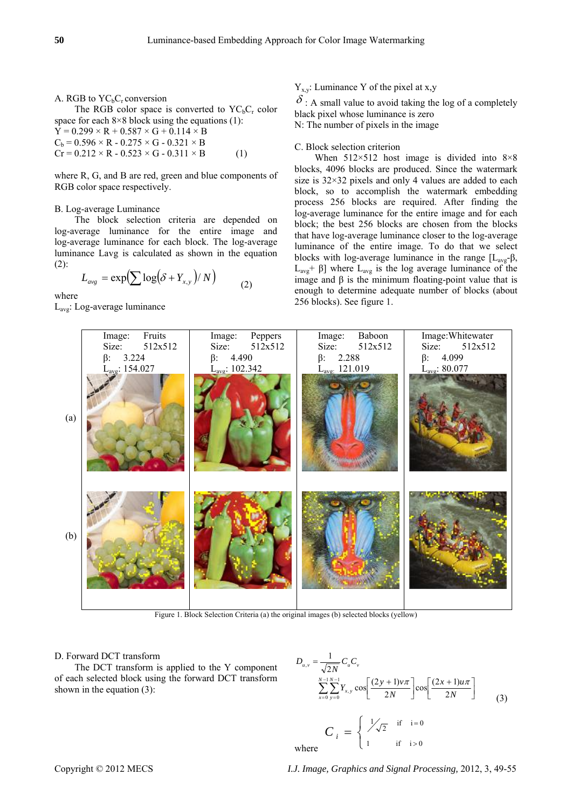A. RGB to  $YC<sub>b</sub>C<sub>r</sub>$  conversion The RGB color space is converted to  $YC<sub>b</sub>C<sub>r</sub>$  color space for each  $8\times 8$  block using the equations (1):  $Y = 0.299 \times R + 0.587 \times G + 0.114 \times B$  $C_b = 0.596 \times R - 0.275 \times G - 0.321 \times B$  $Cr = 0.212 \times R - 0.523 \times G - 0.311 \times B$  (1)

where R, G, and B are red, green and blue components of RGB color space respectively.

#### B. Log-average Luminance

The block selection criteria are depended on log-average luminance for the entire image and log-average luminance for each block. The log-average luminance Lavg is calculated as shown in the equation (2):

$$
L_{avg} = \exp\left(\sum \log(\delta + Y_{x,y})/N\right) \tag{2}
$$

where

Lavg: Log-average luminance

 $Y_{x,y}$ : Luminance Y of the pixel at x,y

 $\delta$ : A small value to avoid taking the log of a completely black pixel whose luminance is zero N: The number of pixels in the image

## C. Block selection criterion

When  $512\times512$  host image is divided into  $8\times8$ blocks, 4096 blocks are produced. Since the watermark size is  $32 \times 32$  pixels and only 4 values are added to each block, so to accomplish the watermark embedding process 256 blocks are required. After finding the log-average luminance for the entire image and for each block; the best 256 blocks are chosen from the blocks that have log-average luminance closer to the log-average luminance of the entire image. To do that we select blocks with log-average luminance in the range  $[L_{\text{avg}}-\beta,$  $L<sub>avg</sub> + β$ ] where  $L<sub>avg</sub>$  is the log average luminance of the image and β is the minimum floating-point value that is enough to determine adequate number of blocks (about 256 blocks). See figure 1.



Figure 1. Block Selection Criteria (a) the original images (b) selected blocks (yellow)

#### D. Forward DCT transform

The DCT transform is applied to the Y component of each selected block using the forward DCT transform shown in the equation (3):

$$
D_{u,v} = \frac{1}{\sqrt{2N}} C_u C_v
$$
  

$$
\sum_{x=0}^{N-1} \sum_{y=0}^{N-1} Y_{x,y} \cos \left[ \frac{(2y+1)v\pi}{2N} \right] \cos \left[ \frac{(2x+1)u\pi}{2N} \right]
$$
  

$$
C_i = \begin{cases} \frac{1}{\sqrt{2}} & \text{if } i=0\\ 1 & \text{if } i>0 \end{cases}
$$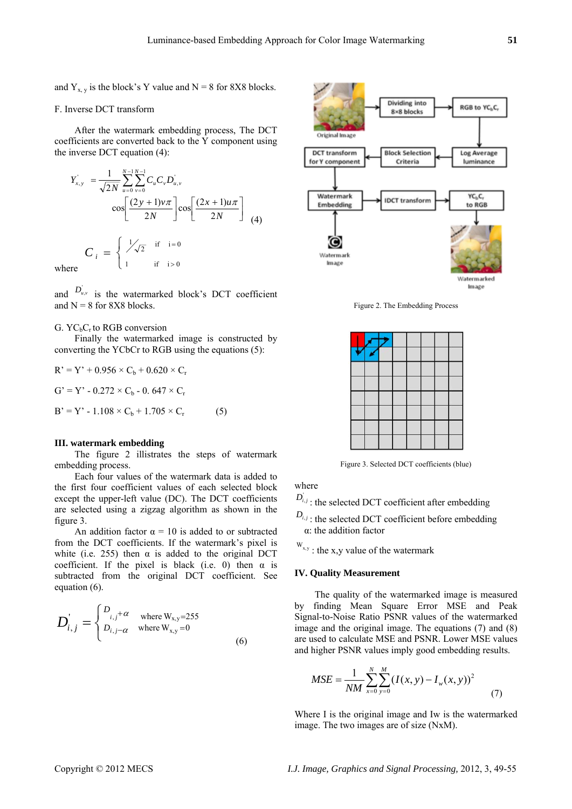and  $Y_{x,y}$  is the block's Y value and  $N = 8$  for 8X8 blocks.

## F. Inverse DCT transform

After the watermark embedding process, The DCT coefficients are converted back to the Y component using the inverse DCT equation (4):

$$
Y'_{x,y} = \frac{1}{\sqrt{2N}} \sum_{u=0}^{N-1} \sum_{v=0}^{N-1} C_u C_v D'_{u,v}
$$
  

$$
\cos \left[ \frac{(2y+1)v\pi}{2N} \right] \cos \left[ \frac{(2x+1)u\pi}{2N} \right]
$$
  

$$
C_i = \begin{cases} \frac{1}{\sqrt{2}} & \text{if } i=0\\ 1 & \text{if } i>0 \end{cases}
$$

where

and  $D_{u,v}$  is the watermarked block's DCT coefficient and  $N = 8$  for 8X8 blocks.

## G.  $YC<sub>b</sub>C<sub>r</sub>$  to RGB conversion

Finally the watermarked image is constructed by converting the YCbCr to RGB using the equations (5):

$$
R' = Y' + 0.956 \times C_b + 0.620 \times C_r
$$
  
\n
$$
G' = Y' - 0.272 \times C_b - 0.647 \times C_r
$$
  
\n
$$
B' = Y' - 1.108 \times C_b + 1.705 \times C_r
$$
 (5)

#### **III. watermark embedding**

The figure 2 illistrates the steps of watermark embedding process.

Each four values of the watermark data is added to the first four coefficient values of each selected block except the upper-left value (DC). The DCT coefficients are selected using a zigzag algorithm as shown in the figure 3.

An addition factor  $\alpha = 10$  is added to or subtracted from the DCT coefficients. If the watermark's pixel is white (i.e. 255) then  $\alpha$  is added to the original DCT coefficient. If the pixel is black (i.e. 0) then  $\alpha$  is subtracted from the original DCT coefficient. See equation (6).

$$
D_{i,j}^{'} = \begin{cases} D_{i,j} + \alpha & \text{where } W_{x,y} = 255 \\ D_{i,j} - \alpha & \text{where } W_{x,y} = 0 \end{cases}
$$
 (6)



Figure 2. The Embedding Process

| p. | Z. |  |  |  |
|----|----|--|--|--|
|    |    |  |  |  |
|    |    |  |  |  |
|    |    |  |  |  |
|    |    |  |  |  |
|    |    |  |  |  |
|    |    |  |  |  |
|    |    |  |  |  |

Figure 3. Selected DCT coefficients (blue)

where

 $D_{i,j}$ : the selected DCT coefficient after embedding

 $D_{\boldsymbol{i},\boldsymbol{j}}$  ; the selected DCT coefficient before embedding α: the addition factor

 $W_{x,y}$ : the x,y value of the watermark

### **IV. Quality Measurement**

The quality of the watermarked image is measured by finding Mean Square Error MSE and Peak Signal-to-Noise Ratio PSNR values of the watermarked image and the original image. The equations (7) and (8) are used to calculate MSE and PSNR. Lower MSE values and higher PSNR values imply good embedding results.

$$
MSE = \frac{1}{NM} \sum_{x=0}^{N} \sum_{y=0}^{M} (I(x, y) - I_w(x, y))^2
$$
 (7)

Where I is the original image and Iw is the watermarked image. The two images are of size (NxM).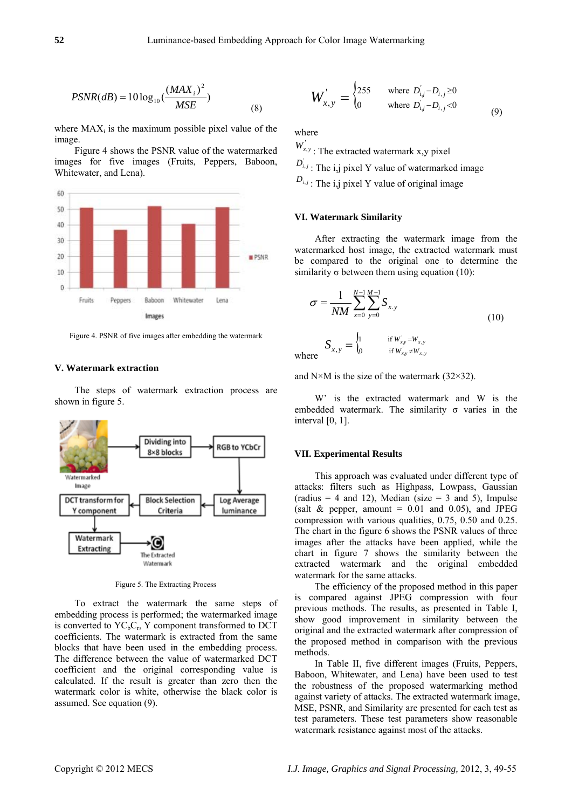$$
PSNR(dB) = 10 \log_{10} \left( \frac{(MAX_i)^2}{MSE} \right)
$$
 (8)

where  $MAX_i$  is the maximum possible pixel value of the image.

Figure 4 shows the PSNR value of the watermarked images for five images (Fruits, Peppers, Baboon, Whitewater, and Lena).



Figure 4. PSNR of five images after embedding the watermark

#### **V. Watermark extraction**

The steps of watermark extraction process are shown in figure 5.



Figure 5. The Extracting Process

To extract the watermark the same steps of embedding process is performed; the watermarked image is converted to  $YC<sub>b</sub>C<sub>r</sub>$ , Y component transformed to DCT coefficients. The watermark is extracted from the same blocks that have been used in the embedding process. The difference between the value of watermarked DCT coefficient and the original corresponding value is calculated. If the result is greater than zero then the watermark color is white, otherwise the black color is assumed. See equation (9).

$$
W_{x,y}^{'} = \begin{cases} 255 & \text{where } D_{i,j} - D_{i,j} \ge 0 \\ 0 & \text{where } D_{i,j} - D_{i,j} < 0 \end{cases} \tag{9}
$$

where

 $W_{x,y}$ : The extracted watermark x,y pixel

 $\overline{1}$ 

 $D_{i,j}$ : The i,j pixel Y value of watermarked image

 $D_{i,j}$ : The i,j pixel Y value of original image

## **VI. Watermark Similarity**

After extracting the watermark image from the watermarked host image, the extracted watermark must be compared to the original one to determine the similarity  $\sigma$  between them using equation (10):

$$
\sigma = \frac{1}{NM} \sum_{x=0}^{N-1} \sum_{y=0}^{M-1} S_{x,y}
$$
\n
$$
S_{x,y} = \begin{cases} 1 & \text{if } W_{xy} = W_{x,y} \\ 0 & \text{if } W_{xy} \neq W_{x,y} \end{cases}
$$
\n(10)

where

and  $N\times M$  is the size of the watermark (32 $\times$ 32).

W' is the extracted watermark and W is the embedded watermark. The similarity  $\sigma$  varies in the interval [0, 1].

#### **VII. Experimental Results**

This approach was evaluated under different type of attacks: filters such as Highpass, Lowpass, Gaussian (radius  $= 4$  and 12), Median (size  $= 3$  and 5), Impulse (salt  $&$  pepper, amount = 0.01 and 0.05), and JPEG compression with various qualities, 0.75, 0.50 and 0.25. The chart in the figure 6 shows the PSNR values of three images after the attacks have been applied, while the chart in figure 7 shows the similarity between the extracted watermark and the original embedded watermark for the same attacks.

The efficiency of the proposed method in this paper is compared against JPEG compression with four previous methods. The results, as presented in Table I, show good improvement in similarity between the original and the extracted watermark after compression of the proposed method in comparison with the previous methods.

In Table II, five different images (Fruits, Peppers, Baboon, Whitewater, and Lena) have been used to test the robustness of the proposed watermarking method against variety of attacks. The extracted watermark image, MSE, PSNR, and Similarity are presented for each test as test parameters. These test parameters show reasonable watermark resistance against most of the attacks.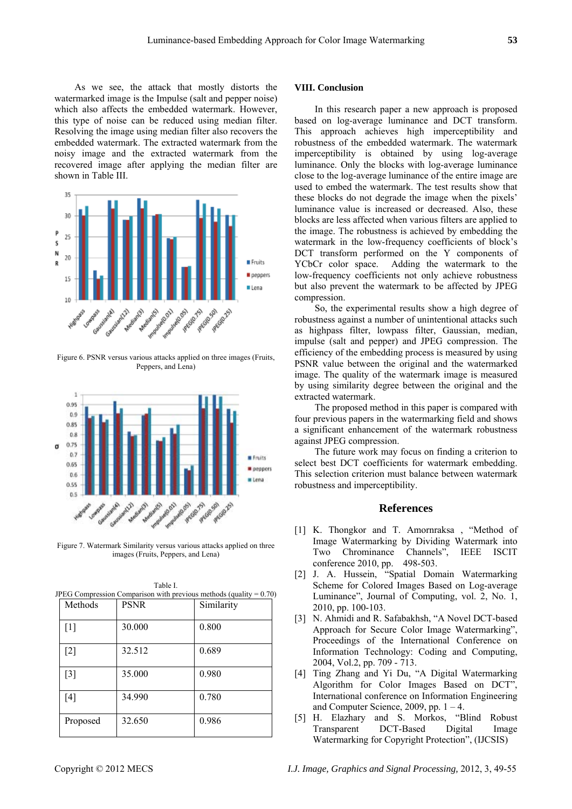As we see, the attack that mostly distorts the watermarked image is the Impulse (salt and pepper noise) which also affects the embedded watermark. However, this type of noise can be reduced using median filter. Resolving the image using median filter also recovers the embedded watermark. The extracted watermark from the noisy image and the extracted watermark from the recovered image after applying the median filter are shown in Table III.



Figure 6. PSNR versus various attacks applied on three images (Fruits, Peppers, and Lena)



Figure 7. Watermark Similarity versus various attacks applied on three images (Fruits, Peppers, and Lena)

Table I. JPEG Compression Comparison with previous methods (quality = 0.70)

| Methods           | <b>PSNR</b> | Similarity |
|-------------------|-------------|------------|
| $[1]$             | 30.000      | 0.800      |
| $[2]$             | 32.512      | 0.689      |
| $\lceil 3 \rceil$ | 35.000      | 0.980      |
| $[4]$             | 34.990      | 0.780      |
| Proposed          | 32.650      | 0.986      |

#### **VIII. Conclusion**

In this research paper a new approach is proposed based on log-average luminance and DCT transform. This approach achieves high imperceptibility and robustness of the embedded watermark. The watermark imperceptibility is obtained by using log-average luminance. Only the blocks with log-average luminance close to the log-average luminance of the entire image are used to embed the watermark. The test results show that these blocks do not degrade the image when the pixels' luminance value is increased or decreased. Also, these blocks are less affected when various filters are applied to the image. The robustness is achieved by embedding the watermark in the low-frequency coefficients of block's DCT transform performed on the Y components of YCbCr color space. Adding the watermark to the low-frequency coefficients not only achieve robustness but also prevent the watermark to be affected by JPEG compression.

So, the experimental results show a high degree of robustness against a number of unintentional attacks such as highpass filter, lowpass filter, Gaussian, median, impulse (salt and pepper) and JPEG compression. The efficiency of the embedding process is measured by using PSNR value between the original and the watermarked image. The quality of the watermark image is measured by using similarity degree between the original and the extracted watermark.

The proposed method in this paper is compared with four previous papers in the watermarking field and shows a significant enhancement of the watermark robustness against JPEG compression.

The future work may focus on finding a criterion to select best DCT coefficients for watermark embedding. This selection criterion must balance between watermark robustness and imperceptibility.

## **References**

- [1] K. Thongkor and T. Amornraksa , "Method of Image Watermarking by Dividing Watermark into Two Chrominance Channels", IEEE ISCIT conference 2010, pp. 498-503.
- [2] J. A. Hussein, "Spatial Domain Watermarking Scheme for Colored Images Based on Log-average Luminance", Journal of Computing, vol. 2, No. 1, 2010, pp. 100-103.
- [3] N. Ahmidi and R. Safabakhsh, "A Novel DCT-based Approach for Secure Color Image Watermarking", Proceedings of the International Conference on Information Technology: Coding and Computing, 2004, Vol.2, pp. 709 - 713.
- [4] Ting Zhang and Yi Du, "A Digital Watermarking Algorithm for Color Images Based on DCT", International conference on Information Engineering and Computer Science, 2009, pp.  $1 - 4$ .
- [5] H. Elazhary and S. Morkos, "Blind Robust Transparent DCT-Based Digital Image Watermarking for Copyright Protection", (IJCSIS)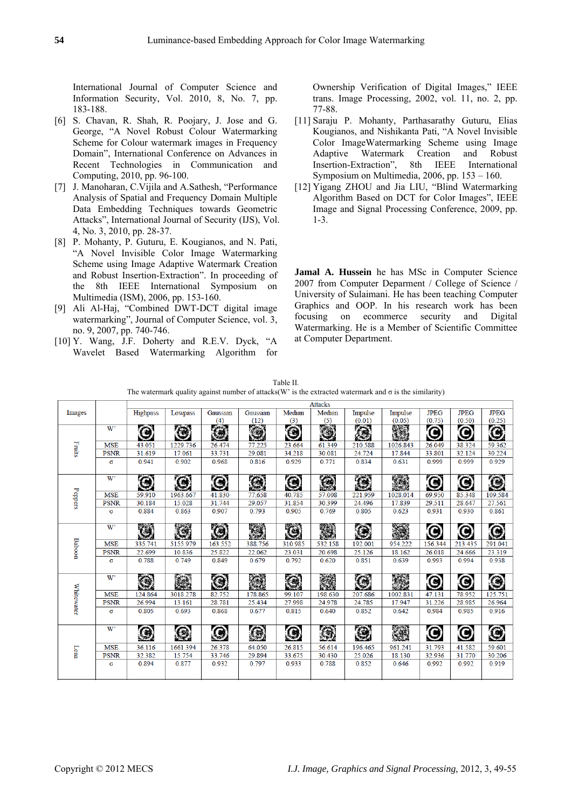International Journal of Computer Science and Information Security, Vol. 2010, 8, No. 7, pp. 183-188.

- [6] S. Chavan, R. Shah, R. Poojary, J. Jose and G. George, "A Novel Robust Colour Watermarking Scheme for Colour watermark images in Frequency Domain", International Conference on Advances in Recent Technologies in Communication and Computing, 2010, pp. 96-100.
- [7] J. Manoharan, C.Vijila and A.Sathesh, "Performance Analysis of Spatial and Frequency Domain Multiple Data Embedding Techniques towards Geometric Attacks", International Journal of Security (IJS), Vol. 4, No. 3, 2010, pp. 28-37.
- [8] P. Mohanty, P. Guturu, E. Kougianos, and N. Pati, "A Novel Invisible Color Image Watermarking Scheme using Image Adaptive Watermark Creation and Robust Insertion-Extraction". In proceeding of the 8th IEEE International Symposium on Multimedia (ISM), 2006, pp. 153-160.
- [9] Ali Al-Haj, "Combined DWT-DCT digital image watermarking", Journal of Computer Science, vol. 3, no. 9, 2007, pp. 740-746.
- [10] Y. Wang, J.F. Doherty and R.E.V. Dyck, "A Wavelet Based Watermarking Algorithm for

Ownership Verification of Digital Images," IEEE trans. Image Processing, 2002, vol. 11, no. 2, pp. 77-88.

- [11] Saraju P. Mohanty, Parthasarathy Guturu, Elias Kougianos, and Nishikanta Pati, "A Novel Invisible Color ImageWatermarking Scheme using Image Adaptive Watermark Creation and Robust Insertion-Extraction", 8th IEEE International Symposium on Multimedia, 2006, pp. 153 – 160.
- [12] Yigang ZHOU and Jia LIU, "Blind Watermarking Algorithm Based on DCT for Color Images", IEEE Image and Signal Processing Conference, 2009, pp. 1-3.

**Jamal A. Hussein** he has MSc in Computer Science 2007 from Computer Deparment / College of Science / University of Sulaimani. He has been teaching Computer Graphics and OOP. In his research work has been focusing on ecommerce security and Digital Watermarking. He is a Member of Scientific Committee at Computer Department.

| Table II.                                                                                                      |
|----------------------------------------------------------------------------------------------------------------|
| The watermark quality against number of attacks (W' is the extracted watermark and $\sigma$ is the similarity) |

|               |                | <b>Attacks</b>  |          |                       |                       |         |                            |            |                |             |             |                       |  |
|---------------|----------------|-----------------|----------|-----------------------|-----------------------|---------|----------------------------|------------|----------------|-------------|-------------|-----------------------|--|
| Images        |                | <b>Highpass</b> | Lowpass  | Gaussian              | Gaussian              | Median  | Median                     | Impulse    | Impulse        | <b>JPEG</b> | <b>JPEG</b> | <b>JPEG</b>           |  |
|               |                |                 |          | (4)                   | (12)                  | (3)     | (5)                        | (0.01)     | (0.05)         | (0.75)      | (0.50)      | (0.25)                |  |
| Fruits        | W <sup>3</sup> | 0               | $\odot$  | O                     | Ó                     | C       | O                          | 承          | S.             | C           | C           | O                     |  |
|               | <b>MSE</b>     | 43.051          | 1229.736 | 26.474                | 77.225                | 23.664  | 61.349                     | 210.588    | 1026.843       | 26.049      | 38.324      | 59.362                |  |
|               | <b>PSNR</b>    | 31.619          | 17.061   | 33.731                | 29.081                | 34.218  | 30.081                     | 24.724     | 17.844         | 33.801      | 32.124      | 30.224                |  |
|               | σ              | 0.941           | 0.902    | 0.968                 | 0.816                 | 0.929   | 0.771                      | 0.834      | 0.631          | 0.999       | 0.999       | 0.929                 |  |
|               | W <sup>3</sup> | $\odot$         | G)       | $\boldsymbol{\Theta}$ | $\overline{(\alpha)}$ | O       | $\langle 3 \rangle$        | G          | 家業             | O           | C           | $^\copyright$         |  |
|               | <b>MSE</b>     | 59.910          | 1963.667 | 41.830                | 77.658                | 40.785  | 57.008                     | 221.959    | 1028.014       | 69.950      | 85.348      | 109.584               |  |
| Peppers       | <b>PSNR</b>    | 30.184          | 15.028   | 31.744                | 29.057                | 31.854  | 30.399                     | 24.496     | 17.839         | 29.511      | 28.647      | 27.561                |  |
|               | $\sigma$       | 0.884           | 0.863    | 0.907                 | 0.793                 | 0.905   | 0.769                      | 0.805      | 0.623          | 0.931       | 0.930       | 0.861                 |  |
|               | W'             | C)              | G        | 偽                     | PRA                   | Ťej     |                            | $\odot$    | $\mathbb{R}^n$ | O           | O           | $\mathbf{\copyright}$ |  |
| <b>Baboon</b> | <b>MSE</b>     | 335.741         | 5155.979 | 163.552               | 388,756               | 310.985 | 532.158                    | 192.001    | 954.222        | 156.344     | 213.435     | 291.041               |  |
|               | <b>PSNR</b>    | 22.699          | 10.836   | 25.822                | 22.062                | 23.031  | 20.698                     | 25.126     | 18.162         | 26.018      | 24.666      | 23.319                |  |
|               | σ              | 0.788           | 0.749    | 0.849                 | 0.679                 | 0.792   | 0.620                      | 0.851      | 0.639          | 0.993       | 0.994       | 0.938                 |  |
| Whitewater    | W              |                 |          | $\odot$               |                       | G       | $\mathcal{L}^{\text{out}}$ | $\bigcirc$ |                | 0           | O           | ۸                     |  |
|               | <b>MSE</b>     | 124,864         | 3018.278 | 82.752                | 178.865               | 99.107  | 198,630                    | 207.686    | 1002.831       | 47.131      | 78.952      | 125.751               |  |
|               | <b>PSNR</b>    | 26.994          | 13.161   | 28.781                | 25.434                | 27.998  | 24.978                     | 24.785     | 17.947         | 31.226      | 28.985      | 26.964                |  |
|               | $\sigma$       | 0.805           | 0.693    | 0.868                 | 0.677                 | 0.815   | 0.640                      | 0.852      | 0.642          | 0.984       | 0.985       | 0.916                 |  |
| Lena          | W <sup>3</sup> | G               |          |                       |                       | ۰       |                            | O          |                | O           | O           | $^\copyright$         |  |
|               | <b>MSE</b>     | 36.116          | 1661.394 | 26.378                | 64.050                | 26.815  | 56.614                     | 196.465    | 961.241        | 31.793      | 41.582      | 59.601                |  |
|               | <b>PSNR</b>    | 32.382          | 15.754   | 33.746                | 29.894                | 33.675  | 30.430                     | 25.026     | 18.130         | 32.936      | 31.770      | 30.206                |  |
|               | $\sigma$       | 0.894           | 0.877    | 0.932                 | 0.797                 | 0.933   | 0.788                      | 0.852      | 0.646          | 0.992       | 0.992       | 0.919                 |  |